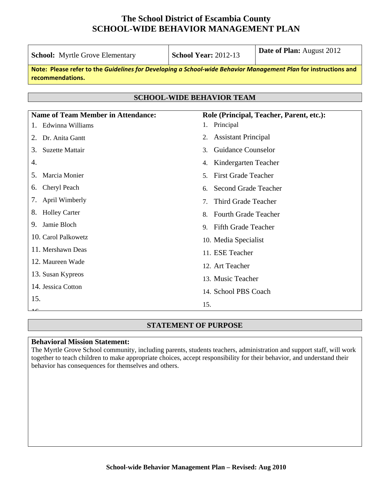| <b>School:</b> Myrtle Grove Elementary                                                                                              | <b>School Year: 2012-13</b>                  | Date of Plan: August 2012                |
|-------------------------------------------------------------------------------------------------------------------------------------|----------------------------------------------|------------------------------------------|
| Note: Please refer to the Guidelines for Developing a School-wide Behavior Management Plan for instructions and<br>recommendations. |                                              |                                          |
|                                                                                                                                     |                                              |                                          |
|                                                                                                                                     | <b>SCHOOL-WIDE BEHAVIOR TEAM</b>             |                                          |
| <b>Name of Team Member in Attendance:</b>                                                                                           |                                              | Role (Principal, Teacher, Parent, etc.): |
| Edwinna Williams                                                                                                                    | Principal<br>1.                              |                                          |
| Dr. Anita Gantt<br>2.                                                                                                               | <b>Assistant Principal</b><br>2.             |                                          |
| <b>Suzette Mattair</b><br>3.                                                                                                        | <b>Guidance Counselor</b><br>3.              |                                          |
| 4.                                                                                                                                  | Kindergarten Teacher<br>4.                   |                                          |
| Marcia Monier<br>5.                                                                                                                 | <b>First Grade Teacher</b><br>5 <sub>1</sub> |                                          |
| Cheryl Peach<br>6.                                                                                                                  | <b>Second Grade Teacher</b><br>6.            |                                          |
| April Wimberly<br>7.                                                                                                                | Third Grade Teacher<br>7.                    |                                          |
| <b>Holley Carter</b><br>8.                                                                                                          | <b>Fourth Grade Teacher</b><br>8.            |                                          |
| Jamie Bloch<br>9.                                                                                                                   | 9. Fifth Grade Teacher                       |                                          |
| 10. Carol Palkowetz                                                                                                                 | 10. Media Specialist                         |                                          |
| 11. Mershawn Deas                                                                                                                   | 11. ESE Teacher                              |                                          |
| 12. Maureen Wade                                                                                                                    | 12. Art Teacher                              |                                          |
| 13. Susan Kypreos                                                                                                                   | 13. Music Teacher                            |                                          |
| 14. Jessica Cotton                                                                                                                  | 14. School PBS Coach                         |                                          |
| 15.                                                                                                                                 | 15.                                          |                                          |
|                                                                                                                                     |                                              |                                          |

#### **STATEMENT OF PURPOSE**

#### **Behavioral Mission Statement:**

The Myrtle Grove School community, including parents, students teachers, administration and support staff, will work together to teach children to make appropriate choices, accept responsibility for their behavior, and understand their behavior has consequences for themselves and others.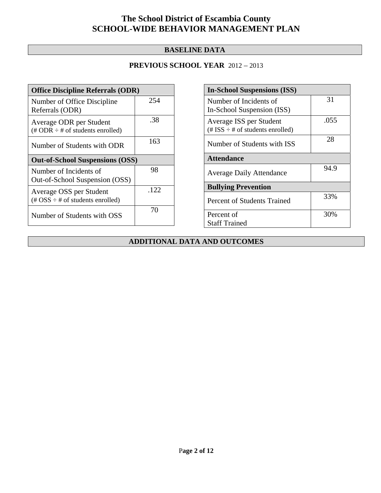### **BASELINE DATA**

### **PREVIOUS SCHOOL YEAR** 2012 – 2013

| <b>Office Discipline Referrals (ODR)</b>                                                        |      |  |
|-------------------------------------------------------------------------------------------------|------|--|
| Number of Office Discipline<br>Referrals (ODR)                                                  | 254  |  |
| Average ODR per Student<br>$(\# ODR \div \# \text{ of students enrolled})$                      | .38  |  |
| Number of Students with ODR                                                                     | 163  |  |
| <b>Out-of-School Suspensions (OSS)</b>                                                          |      |  |
| Number of Incidents of<br>Out-of-School Suspension (OSS)                                        | 98   |  |
|                                                                                                 |      |  |
| Average OSS per Student<br>$(\text{\#} \text{OSS} \div \text{\#} \text{ of students enrolled})$ | .122 |  |

| <b>In-School Suspensions (ISS)</b>                               |      |
|------------------------------------------------------------------|------|
| Number of Incidents of<br>In-School Suspension (ISS)             | 31   |
| Average ISS per Student<br>(# ISS $\div$ # of students enrolled) | .055 |
| Number of Students with ISS                                      | 28   |
| <b>Attendance</b>                                                |      |
| <b>Average Daily Attendance</b>                                  | 94.9 |
| <b>Bullying Prevention</b>                                       |      |
| Percent of Students Trained                                      | 33%  |
| Percent of                                                       | 30%  |
| <b>Staff Trained</b>                                             |      |

### **ADDITIONAL DATA AND OUTCOMES**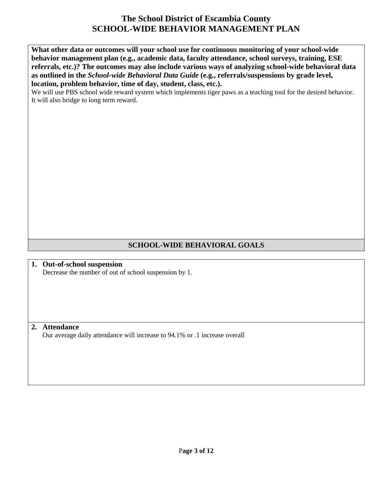**What other data or outcomes will your school use for continuous monitoring of your school-wide behavior management plan (e.g., academic data, faculty attendance, school surveys, training, ESE referrals, etc.)? The outcomes may also include various ways of analyzing school-wide behavioral data as outlined in the** *School-wide Behavioral Data Guide* **(e.g., referrals/suspensions by grade level, location, problem behavior, time of day, student, class, etc.).**

We will use PBS school wide reward system which implements tiger paws as a teaching tool for the desired behavior. It will also bridge to long term reward.

### **SCHOOL-WIDE BEHAVIORAL GOALS**

**1. Out-of-school suspension**  Decrease the number of out of school suspension by 1.

#### **2. Attendance**

Our average daily attendance will increase to 94.1% or .1 increase overall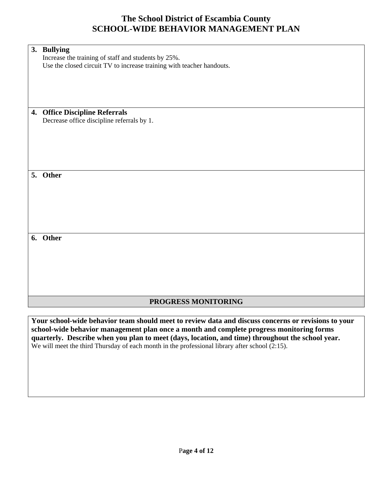| 3. Bullying                                                           |
|-----------------------------------------------------------------------|
| Increase the training of staff and students by 25%.                   |
| Use the closed circuit TV to increase training with teacher handouts. |
|                                                                       |
|                                                                       |
|                                                                       |
|                                                                       |
|                                                                       |
| 4. Office Discipline Referrals                                        |
| Decrease office discipline referrals by 1.                            |
|                                                                       |
|                                                                       |
|                                                                       |
|                                                                       |
|                                                                       |
|                                                                       |
| 5. Other                                                              |
|                                                                       |
|                                                                       |
|                                                                       |
|                                                                       |
|                                                                       |
|                                                                       |
|                                                                       |
| 6. Other                                                              |
|                                                                       |
|                                                                       |
|                                                                       |
|                                                                       |
|                                                                       |
|                                                                       |
|                                                                       |
| PROGRESS MONITORING                                                   |

**Your school-wide behavior team should meet to review data and discuss concerns or revisions to your school-wide behavior management plan once a month and complete progress monitoring forms quarterly. Describe when you plan to meet (days, location, and time) throughout the school year.**  We will meet the third Thursday of each month in the professional library after school (2:15).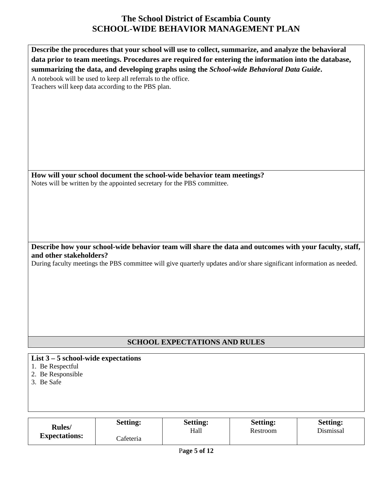| Describe the procedures that your school will use to collect, summarize, and analyze the behavioral                   |
|-----------------------------------------------------------------------------------------------------------------------|
| data prior to team meetings. Procedures are required for entering the information into the database,                  |
| summarizing the data, and developing graphs using the School-wide Behavioral Data Guide.                              |
| A notebook will be used to keep all referrals to the office.                                                          |
|                                                                                                                       |
| Teachers will keep data according to the PBS plan.                                                                    |
|                                                                                                                       |
|                                                                                                                       |
|                                                                                                                       |
|                                                                                                                       |
|                                                                                                                       |
|                                                                                                                       |
|                                                                                                                       |
|                                                                                                                       |
|                                                                                                                       |
|                                                                                                                       |
| How will your school document the school-wide behavior team meetings?                                                 |
| Notes will be written by the appointed secretary for the PBS committee.                                               |
|                                                                                                                       |
|                                                                                                                       |
|                                                                                                                       |
|                                                                                                                       |
|                                                                                                                       |
|                                                                                                                       |
|                                                                                                                       |
| Describe how your school-wide behavior team will share the data and outcomes with your faculty, staff,                |
| and other stakeholders?                                                                                               |
| During faculty meetings the PBS committee will give quarterly updates and/or share significant information as needed. |
|                                                                                                                       |
|                                                                                                                       |
|                                                                                                                       |
|                                                                                                                       |
|                                                                                                                       |
|                                                                                                                       |
|                                                                                                                       |
|                                                                                                                       |
|                                                                                                                       |
| <b>SCHOOL EXPECTATIONS AND RULES</b>                                                                                  |
|                                                                                                                       |
| List $3 - 5$ school-wide expectations                                                                                 |
| $1 \text{ Re}$ Reprectful                                                                                             |

- 1. Be Respectful 2. Be Responsible
- 3. Be Safe

| <b>Rules</b> /<br><b>Expectations:</b> | <b>Setting:</b> | <b>Setting:</b> | <b>Setting:</b> | <b>Setting:</b> |
|----------------------------------------|-----------------|-----------------|-----------------|-----------------|
|                                        |                 | Hall            | Restroom        | Dismissal       |
|                                        | Cafeteria       |                 |                 |                 |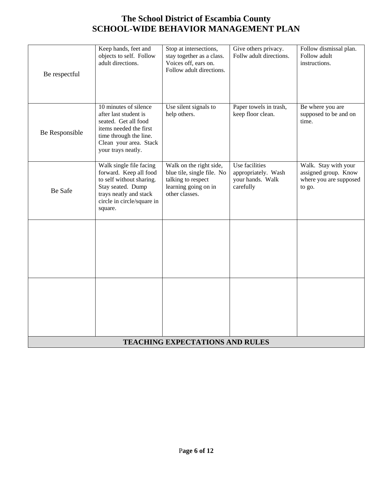| Be respectful  | Keep hands, feet and<br>objects to self. Follow<br>adult directions.                                                                                                       | Stop at intersections,<br>stay together as a class.<br>Voices off, ears on.<br>Follow adult directions.               | Give others privacy.<br>Follw adult directions.                        | Follow dismissal plan.<br>Follow adult<br>instructions.                          |
|----------------|----------------------------------------------------------------------------------------------------------------------------------------------------------------------------|-----------------------------------------------------------------------------------------------------------------------|------------------------------------------------------------------------|----------------------------------------------------------------------------------|
| Be Responsible | 10 minutes of silence<br>after last student is<br>seated. Get all food<br>items needed the first<br>time through the line.<br>Clean your area. Stack<br>your trays neatly. | Use silent signals to<br>help others.                                                                                 | Paper towels in trash,<br>keep floor clean.                            | Be where you are<br>supposed to be and on<br>time.                               |
| <b>Be Safe</b> | Walk single file facing<br>forward. Keep all food<br>to self without sharing.<br>Stay seated. Dump<br>trays neatly and stack<br>circle in circle/square in<br>square.      | Walk on the right side,<br>blue tile, single file. No<br>talking to respect<br>learning going on in<br>other classes. | Use facilities<br>appropriately. Wash<br>your hands. Walk<br>carefully | Walk. Stay with your<br>assigned group. Know<br>where you are supposed<br>to go. |
|                |                                                                                                                                                                            |                                                                                                                       |                                                                        |                                                                                  |
|                |                                                                                                                                                                            |                                                                                                                       |                                                                        |                                                                                  |
|                |                                                                                                                                                                            | <b>TEACHING EXPECTATIONS AND RULES</b>                                                                                |                                                                        |                                                                                  |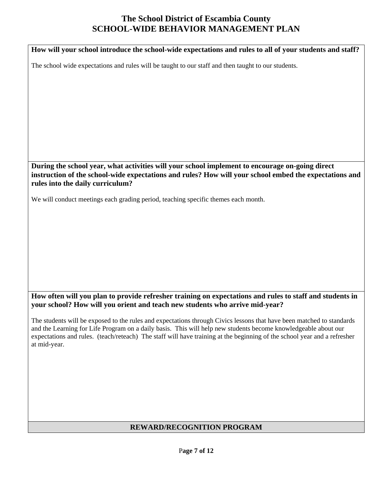**How will your school introduce the school-wide expectations and rules to all of your students and staff?**  The school wide expectations and rules will be taught to our staff and then taught to our students. **During the school year, what activities will your school implement to encourage on-going direct instruction of the school-wide expectations and rules? How will your school embed the expectations and rules into the daily curriculum?**  We will conduct meetings each grading period, teaching specific themes each month.

**How often will you plan to provide refresher training on expectations and rules to staff and students in your school? How will you orient and teach new students who arrive mid-year?** 

The students will be exposed to the rules and expectations through Civics lessons that have been matched to standards and the Learning for Life Program on a daily basis. This will help new students become knowledgeable about our expectations and rules. (teach/reteach) The staff will have training at the beginning of the school year and a refresher at mid-year.

### **REWARD/RECOGNITION PROGRAM**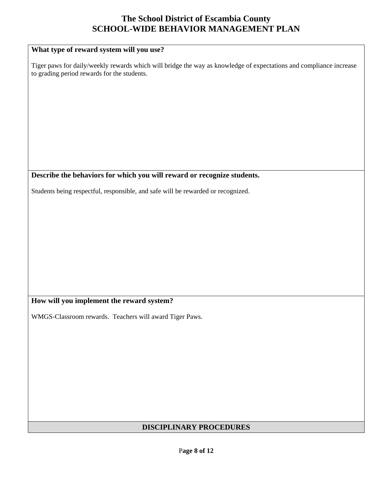| What type of reward system will you use?                                                                                                                          |
|-------------------------------------------------------------------------------------------------------------------------------------------------------------------|
| Tiger paws for daily/weekly rewards which will bridge the way as knowledge of expectations and compliance increase<br>to grading period rewards for the students. |
|                                                                                                                                                                   |
|                                                                                                                                                                   |
|                                                                                                                                                                   |
|                                                                                                                                                                   |
|                                                                                                                                                                   |
|                                                                                                                                                                   |
|                                                                                                                                                                   |
|                                                                                                                                                                   |
| Describe the behaviors for which you will reward or recognize students.                                                                                           |
| Students being respectful, responsible, and safe will be rewarded or recognized.                                                                                  |
|                                                                                                                                                                   |
|                                                                                                                                                                   |
|                                                                                                                                                                   |
|                                                                                                                                                                   |
|                                                                                                                                                                   |
|                                                                                                                                                                   |
|                                                                                                                                                                   |
|                                                                                                                                                                   |
|                                                                                                                                                                   |
| $\cdots$<br>$\bullet$<br>TТ<br>п.<br>$\overline{1}$<br>$\mathbf{r}$<br>$\bullet$                                                                                  |

## **How will you implement the reward system?**

WMGS-Classroom rewards. Teachers will award Tiger Paws.

## **DISCIPLINARY PROCEDURES**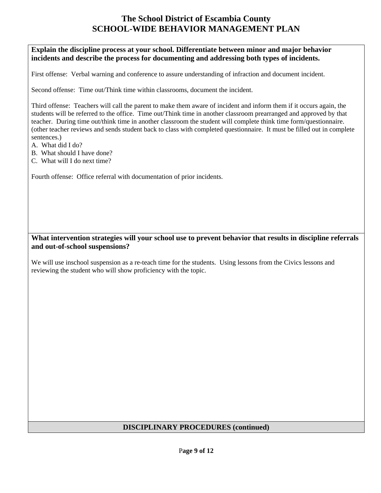#### **Explain the discipline process at your school. Differentiate between minor and major behavior incidents and describe the process for documenting and addressing both types of incidents.**

First offense: Verbal warning and conference to assure understanding of infraction and document incident.

Second offense: Time out/Think time within classrooms, document the incident.

Third offense: Teachers will call the parent to make them aware of incident and inform them if it occurs again, the students will be referred to the office. Time out/Think time in another classroom prearranged and approved by that teacher. During time out/think time in another classroom the student will complete think time form/questionnaire. (other teacher reviews and sends student back to class with completed questionnaire. It must be filled out in complete sentences.)

- A. What did I do?
- B. What should I have done?
- C. What will I do next time?

Fourth offense: Office referral with documentation of prior incidents.

#### **What intervention strategies will your school use to prevent behavior that results in discipline referrals and out-of-school suspensions?**

We will use inschool suspension as a re-teach time for the students. Using lessons from the Civics lessons and reviewing the student who will show proficiency with the topic.

#### **DISCIPLINARY PROCEDURES (continued)**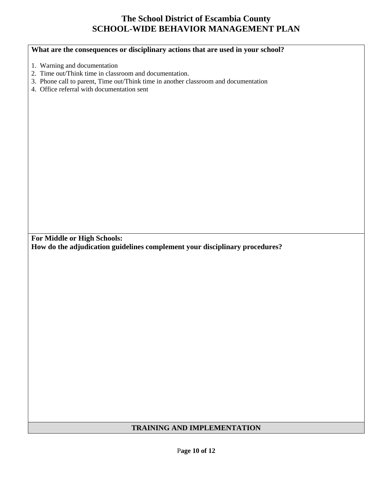### **What are the consequences or disciplinary actions that are used in your school?**

- 1. Warning and documentation
- 2. Time out/Think time in classroom and documentation.
- 3. Phone call to parent, Time out/Think time in another classroom and documentation
- 4. Office referral with documentation sent

**For Middle or High Schools: How do the adjudication guidelines complement your disciplinary procedures?** 

### **TRAINING AND IMPLEMENTATION**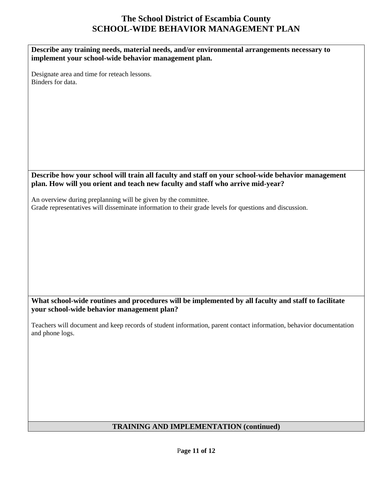| Describe any training needs, material needs, and/or environmental arrangements necessary to<br>implement your school-wide behavior management plan.                                 |
|-------------------------------------------------------------------------------------------------------------------------------------------------------------------------------------|
| Designate area and time for reteach lessons.<br>Binders for data.                                                                                                                   |
|                                                                                                                                                                                     |
|                                                                                                                                                                                     |
|                                                                                                                                                                                     |
|                                                                                                                                                                                     |
| Describe how your school will train all faculty and staff on your school-wide behavior management<br>plan. How will you orient and teach new faculty and staff who arrive mid-year? |
| An overview during preplanning will be given by the committee.<br>Grade representatives will disseminate information to their grade levels for questions and discussion.            |
|                                                                                                                                                                                     |
|                                                                                                                                                                                     |
|                                                                                                                                                                                     |
|                                                                                                                                                                                     |
| What school-wide routines and procedures will be implemented by all faculty and staff to facilitate<br>your school-wide behavior management plan?                                   |
| Teachers will document and keep records of student information, parent contact information, behavior documentation<br>and phone logs.                                               |
|                                                                                                                                                                                     |
|                                                                                                                                                                                     |
|                                                                                                                                                                                     |
|                                                                                                                                                                                     |
| <b>TRAINING AND IMPLEMENTATION (continued)</b>                                                                                                                                      |